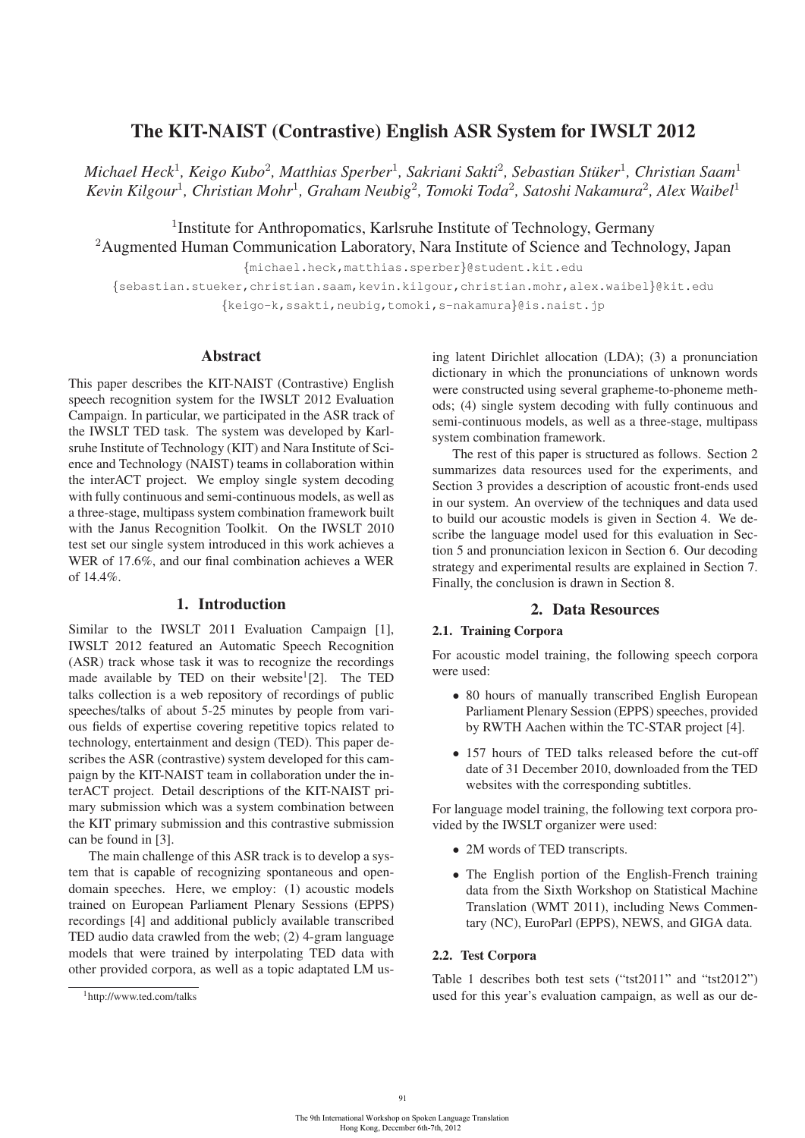# The KIT-NAIST (Contrastive) English ASR System for IWSLT 2012

*Michael Heck*<sup>1</sup>*, Keigo Kubo*<sup>2</sup>*, Matthias Sperber*<sup>1</sup>*, Sakriani Sakti*<sup>2</sup>*, Sebastian Stuker ¨* <sup>1</sup>*, Christian Saam*<sup>1</sup> *Kevin Kilgour*<sup>1</sup>*, Christian Mohr*<sup>1</sup>*, Graham Neubig*<sup>2</sup>*, Tomoki Toda*<sup>2</sup>*, Satoshi Nakamura*<sup>2</sup>*, Alex Waibel*<sup>1</sup>

<sup>1</sup>Institute for Anthropomatics, Karlsruhe Institute of Technology, Germany <sup>2</sup>Augmented Human Communication Laboratory, Nara Institute of Science and Technology, Japan

{michael.heck,matthias.sperber}@student.kit.edu

{sebastian.stueker,christian.saam,kevin.kilgour,christian.mohr,alex.waibel}@kit.edu {keigo-k,ssakti,neubig,tomoki,s-nakamura}@is.naist.jp

# Abstract

This paper describes the KIT-NAIST (Contrastive) English speech recognition system for the IWSLT 2012 Evaluation Campaign. In particular, we participated in the ASR track of the IWSLT TED task. The system was developed by Karlsruhe Institute of Technology (KIT) and Nara Institute of Science and Technology (NAIST) teams in collaboration within the interACT project. We employ single system decoding with fully continuous and semi-continuous models, as well as a three-stage, multipass system combination framework built with the Janus Recognition Toolkit. On the IWSLT 2010 test set our single system introduced in this work achieves a WER of 17.6%, and our final combination achieves a WER of 14.4%.

# 1. Introduction

Similar to the IWSLT 2011 Evaluation Campaign [1], IWSLT 2012 featured an Automatic Speech Recognition (ASR) track whose task it was to recognize the recordings made available by TED on their website<sup>1</sup>[2]. The TED talks collection is a web repository of recordings of public speeches/talks of about 5-25 minutes by people from various fields of expertise covering repetitive topics related to technology, entertainment and design (TED). This paper describes the ASR (contrastive) system developed for this campaign by the KIT-NAIST team in collaboration under the interACT project. Detail descriptions of the KIT-NAIST primary submission which was a system combination between the KIT primary submission and this contrastive submission can be found in [3].

The main challenge of this ASR track is to develop a system that is capable of recognizing spontaneous and opendomain speeches. Here, we employ: (1) acoustic models trained on European Parliament Plenary Sessions (EPPS) recordings [4] and additional publicly available transcribed TED audio data crawled from the web; (2) 4-gram language models that were trained by interpolating TED data with other provided corpora, as well as a topic adaptated LM using latent Dirichlet allocation (LDA); (3) a pronunciation dictionary in which the pronunciations of unknown words were constructed using several grapheme-to-phoneme methods; (4) single system decoding with fully continuous and semi-continuous models, as well as a three-stage, multipass system combination framework.

The rest of this paper is structured as follows. Section 2 summarizes data resources used for the experiments, and Section 3 provides a description of acoustic front-ends used in our system. An overview of the techniques and data used to build our acoustic models is given in Section 4. We describe the language model used for this evaluation in Section 5 and pronunciation lexicon in Section 6. Our decoding strategy and experimental results are explained in Section 7. Finally, the conclusion is drawn in Section 8.

## 2. Data Resources

# 2.1. Training Corpora

For acoustic model training, the following speech corpora were used:

- 80 hours of manually transcribed English European Parliament Plenary Session (EPPS) speeches, provided by RWTH Aachen within the TC-STAR project [4].
- 157 hours of TED talks released before the cut-off date of 31 December 2010, downloaded from the TED websites with the corresponding subtitles.

For language model training, the following text corpora provided by the IWSLT organizer were used:

- 2M words of TED transcripts.
- The English portion of the English-French training data from the Sixth Workshop on Statistical Machine Translation (WMT 2011), including News Commentary (NC), EuroParl (EPPS), NEWS, and GIGA data.

## 2.2. Test Corpora

Table 1 describes both test sets ("tst2011" and "tst2012") used for this year's evaluation campaign, as well as our de-

<sup>1</sup>http://www.ted.com/talks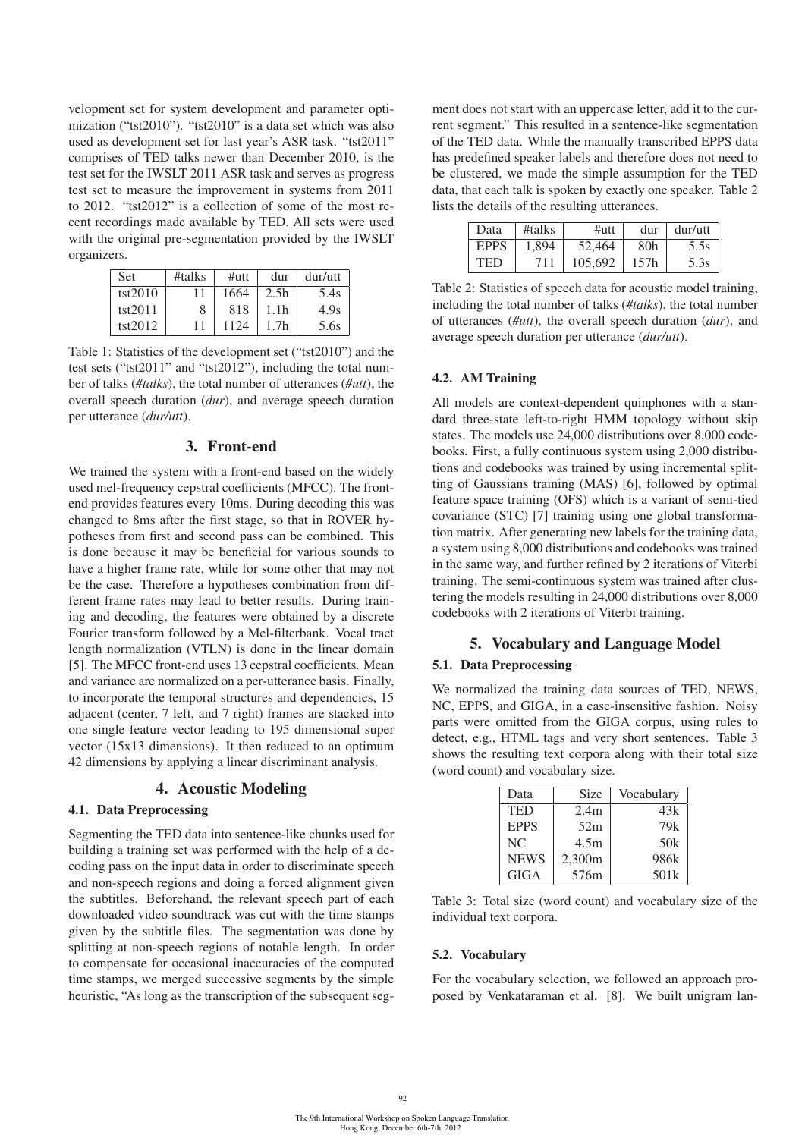velopment set for system development and parameter optimization ("tst2010"). "tst2010" is a data set which was also used as development set for last year's ASR task. "tst2011" comprises of TED talks newer than December 2010, is the test set for the IWSLT 2011 ASR task and serves as progress test set to measure the improvement in systems from 2011 to 2012. "tst2012" is a collection of some of the most recent recordings made available by TED. All sets were used with the original pre-segmentation provided by the IWSLT organizers.

| Set     | #talks | $#$ utt | dur              | dur/utt |
|---------|--------|---------|------------------|---------|
| tst2010 | 11     | 1664    | 2.5 <sub>h</sub> | 5.4s    |
| tst2011 |        | 818     | 1.1h             | 4.9s    |
| tst2012 | 11     | 1124    | 1.7h             | 5.6s    |

Table 1: Statistics of the development set ("tst2010") and the test sets ("tst2011" and "tst2012"), including the total number of talks (*#talks*), the total number of utterances (*#utt*), the overall speech duration (*dur*), and average speech duration per utterance (*dur/utt*).

# 3. Front-end

We trained the system with a front-end based on the widely used mel-frequency cepstral coefficients (MFCC). The frontend provides features every 10ms. During decoding this was changed to 8ms after the first stage, so that in ROVER hypotheses from first and second pass can be combined. This is done because it may be beneficial for various sounds to have a higher frame rate, while for some other that may not be the case. Therefore a hypotheses combination from different frame rates may lead to better results. During training and decoding, the features were obtained by a discrete Fourier transform followed by a Mel-filterbank. Vocal tract length normalization (VTLN) is done in the linear domain [5]. The MFCC front-end uses 13 cepstral coefficients. Mean and variance are normalized on a per-utterance basis. Finally, to incorporate the temporal structures and dependencies, 15 adjacent (center, 7 left, and 7 right) frames are stacked into one single feature vector leading to 195 dimensional super vector (15x13 dimensions). It then reduced to an optimum 42 dimensions by applying a linear discriminant analysis.

# 4. Acoustic Modeling

## 4.1. Data Preprocessing

Segmenting the TED data into sentence-like chunks used for building a training set was performed with the help of a decoding pass on the input data in order to discriminate speech and non-speech regions and doing a forced alignment given the subtitles. Beforehand, the relevant speech part of each downloaded video soundtrack was cut with the time stamps given by the subtitle files. The segmentation was done by splitting at non-speech regions of notable length. In order to compensate for occasional inaccuracies of the computed time stamps, we merged successive segments by the simple heuristic, "As long as the transcription of the subsequent segment does not start with an uppercase letter, add it to the current segment." This resulted in a sentence-like segmentation of the TED data. While the manually transcribed EPPS data has predefined speaker labels and therefore does not need to be clustered, we made the simple assumption for the TED data, that each talk is spoken by exactly one speaker. Table 2 lists the details of the resulting utterances.

| Data        | #talks | $\#$ utt | dur  | dur/utt |
|-------------|--------|----------|------|---------|
| <b>EPPS</b> | 1.894  | 52,464   | 80h  | 5.5s    |
| TED         | 711    | 105,692  | 157h | 5.3s    |

Table 2: Statistics of speech data for acoustic model training, including the total number of talks (*#talks*), the total number of utterances (*#utt*), the overall speech duration (*dur*), and average speech duration per utterance (*dur/utt*).

# 4.2. AM Training

All models are context-dependent quinphones with a standard three-state left-to-right HMM topology without skip states. The models use 24,000 distributions over 8,000 codebooks. First, a fully continuous system using 2,000 distributions and codebooks was trained by using incremental splitting of Gaussians training (MAS) [6], followed by optimal feature space training (OFS) which is a variant of semi-tied covariance (STC) [7] training using one global transformation matrix. After generating new labels for the training data, a system using 8,000 distributions and codebooks was trained in the same way, and further refined by 2 iterations of Viterbi training. The semi-continuous system was trained after clustering the models resulting in 24,000 distributions over 8,000 codebooks with 2 iterations of Viterbi training.

# 5. Vocabulary and Language Model

## 5.1. Data Preprocessing

We normalized the training data sources of TED, NEWS, NC, EPPS, and GIGA, in a case-insensitive fashion. Noisy parts were omitted from the GIGA corpus, using rules to detect, e.g., HTML tags and very short sentences. Table 3 shows the resulting text corpora along with their total size (word count) and vocabulary size.

| Data        | Size             | Vocabulary |
|-------------|------------------|------------|
| <b>TED</b>  | 2.4 <sub>m</sub> | 43k        |
| <b>EPPS</b> | 52m              | 79k        |
| NC          | 4.5m             | 50k        |
| <b>NEWS</b> | 2,300m           | 986k       |
| <b>GIGA</b> | 576m             | 501k       |

Table 3: Total size (word count) and vocabulary size of the individual text corpora.

#### 5.2. Vocabulary

For the vocabulary selection, we followed an approach proposed by Venkataraman et al. [8]. We built unigram lan-

92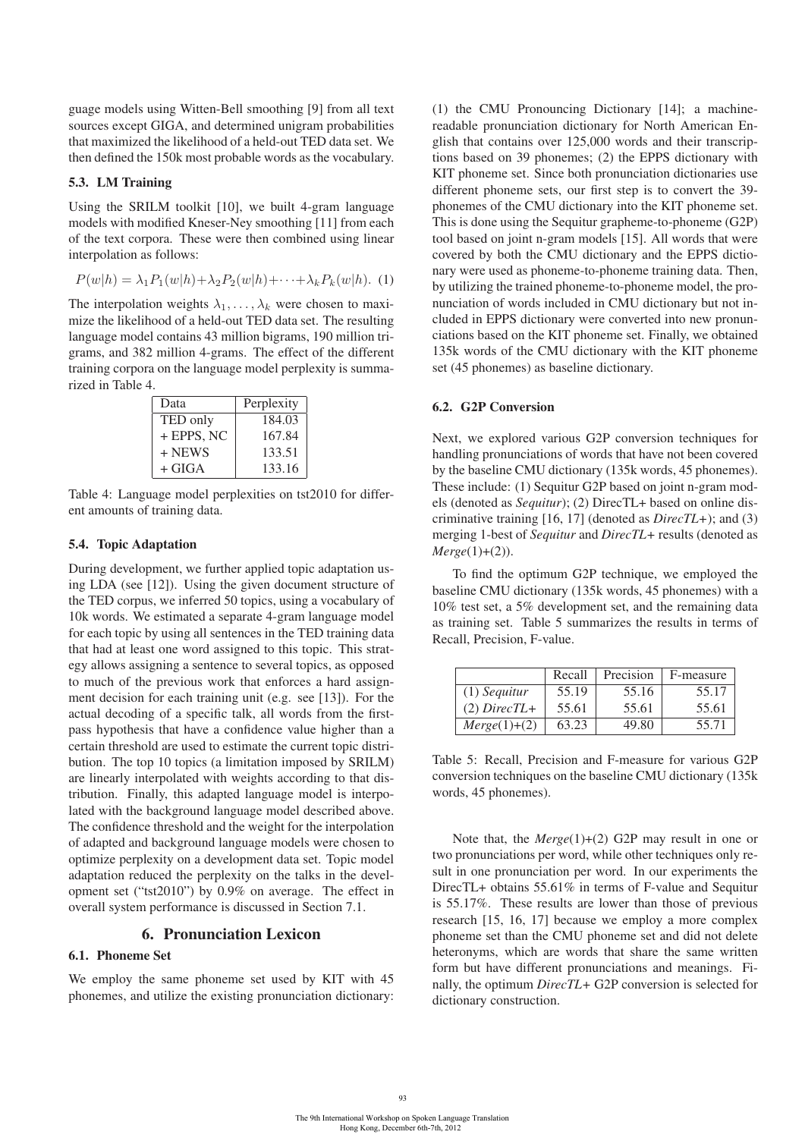guage models using Witten-Bell smoothing [9] from all text sources except GIGA, and determined unigram probabilities that maximized the likelihood of a held-out TED data set. We then defined the 150k most probable words as the vocabulary.

# 5.3. LM Training

Using the SRILM toolkit [10], we built 4-gram language models with modified Kneser-Ney smoothing [11] from each of the text corpora. These were then combined using linear interpolation as follows:

$$
P(w|h) = \lambda_1 P_1(w|h) + \lambda_2 P_2(w|h) + \dots + \lambda_k P_k(w|h). \tag{1}
$$

The interpolation weights  $\lambda_1, \ldots, \lambda_k$  were chosen to maximize the likelihood of a held-out TED data set. The resulting language model contains 43 million bigrams, 190 million trigrams, and 382 million 4-grams. The effect of the different training corpora on the language model perplexity is summarized in Table 4.

| Data       | Perplexity |
|------------|------------|
| TED only   | 184.03     |
| + EPPS, NC | 167.84     |
| $+$ NEWS   | 133.51     |
| $+ GIGA$   | 133.16     |

Table 4: Language model perplexities on tst2010 for different amounts of training data.

## 5.4. Topic Adaptation

During development, we further applied topic adaptation using LDA (see [12]). Using the given document structure of the TED corpus, we inferred 50 topics, using a vocabulary of 10k words. We estimated a separate 4-gram language model for each topic by using all sentences in the TED training data that had at least one word assigned to this topic. This strategy allows assigning a sentence to several topics, as opposed to much of the previous work that enforces a hard assignment decision for each training unit (e.g. see [13]). For the actual decoding of a specific talk, all words from the firstpass hypothesis that have a confidence value higher than a certain threshold are used to estimate the current topic distribution. The top 10 topics (a limitation imposed by SRILM) are linearly interpolated with weights according to that distribution. Finally, this adapted language model is interpolated with the background language model described above. The confidence threshold and the weight for the interpolation of adapted and background language models were chosen to optimize perplexity on a development data set. Topic model adaptation reduced the perplexity on the talks in the development set ("tst2010") by 0.9% on average. The effect in overall system performance is discussed in Section 7.1.

# 6. Pronunciation Lexicon

## 6.1. Phoneme Set

We employ the same phoneme set used by KIT with 45 phonemes, and utilize the existing pronunciation dictionary: (1) the CMU Pronouncing Dictionary [14]; a machinereadable pronunciation dictionary for North American English that contains over 125,000 words and their transcriptions based on 39 phonemes; (2) the EPPS dictionary with KIT phoneme set. Since both pronunciation dictionaries use different phoneme sets, our first step is to convert the 39 phonemes of the CMU dictionary into the KIT phoneme set. This is done using the Sequitur grapheme-to-phoneme (G2P) tool based on joint n-gram models [15]. All words that were covered by both the CMU dictionary and the EPPS dictionary were used as phoneme-to-phoneme training data. Then, by utilizing the trained phoneme-to-phoneme model, the pronunciation of words included in CMU dictionary but not included in EPPS dictionary were converted into new pronunciations based on the KIT phoneme set. Finally, we obtained 135k words of the CMU dictionary with the KIT phoneme set (45 phonemes) as baseline dictionary.

# 6.2. G2P Conversion

Next, we explored various G2P conversion techniques for handling pronunciations of words that have not been covered by the baseline CMU dictionary (135k words, 45 phonemes). These include: (1) Sequitur G2P based on joint n-gram models (denoted as *Sequitur*); (2) DirecTL+ based on online discriminative training [16, 17] (denoted as *DirecTL+*); and (3) merging 1-best of *Sequitur* and *DirecTL+* results (denoted as *Merge*(1)+(2)).

To find the optimum G2P technique, we employed the baseline CMU dictionary (135k words, 45 phonemes) with a 10% test set, a 5% development set, and the remaining data as training set. Table 5 summarizes the results in terms of Recall, Precision, F-value.

|                | Recall | Precision | F-measure |
|----------------|--------|-----------|-----------|
| $(1)$ Sequitur | 55.19  | 55.16     | 55.17     |
| $(2)$ DirecTL+ | 55.61  | 55.61     | 55.61     |
| $Merge(1)+(2)$ | 63.23  | 49.80     | 55.71     |

Table 5: Recall, Precision and F-measure for various G2P conversion techniques on the baseline CMU dictionary (135k words, 45 phonemes).

Note that, the *Merge*(1)+(2) G2P may result in one or two pronunciations per word, while other techniques only result in one pronunciation per word. In our experiments the DirecTL+ obtains 55.61% in terms of F-value and Sequitur is 55.17%. These results are lower than those of previous research [15, 16, 17] because we employ a more complex phoneme set than the CMU phoneme set and did not delete heteronyms, which are words that share the same written form but have different pronunciations and meanings. Finally, the optimum *DirecTL+* G2P conversion is selected for dictionary construction.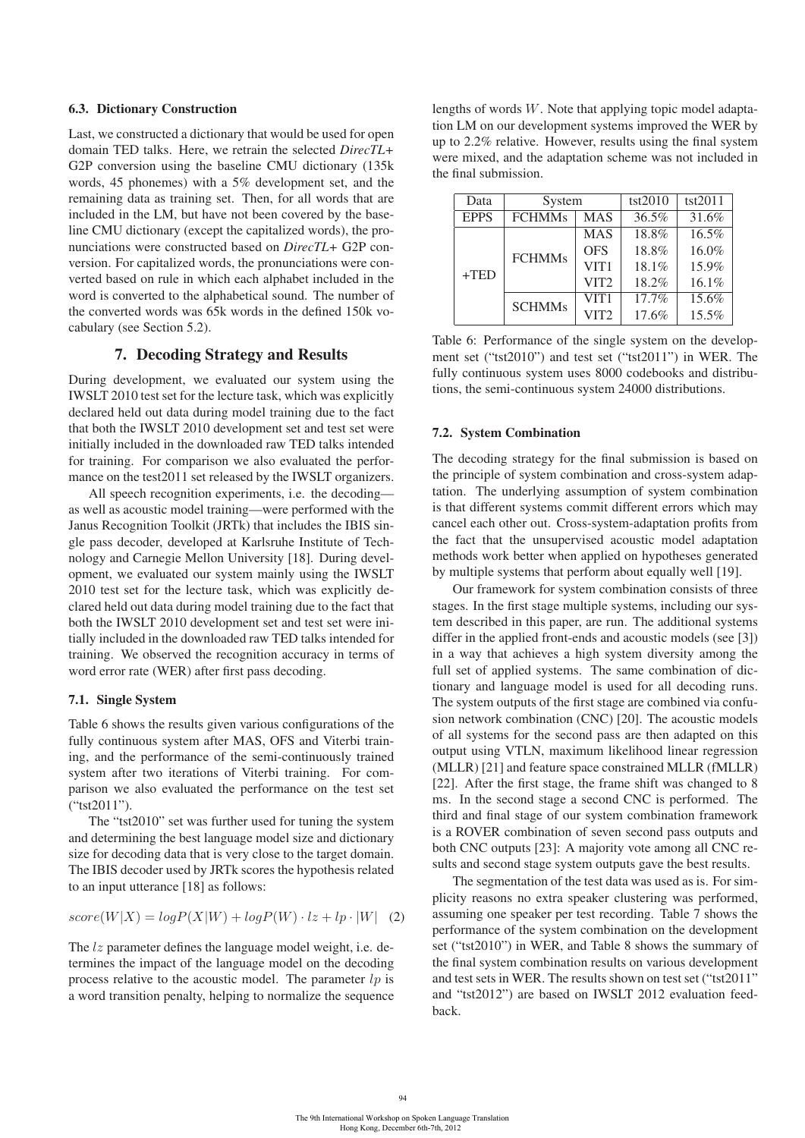## 6.3. Dictionary Construction

Last, we constructed a dictionary that would be used for open domain TED talks. Here, we retrain the selected *DirecTL+* G2P conversion using the baseline CMU dictionary (135k words, 45 phonemes) with a 5% development set, and the remaining data as training set. Then, for all words that are included in the LM, but have not been covered by the baseline CMU dictionary (except the capitalized words), the pronunciations were constructed based on *DirecTL+* G2P conversion. For capitalized words, the pronunciations were converted based on rule in which each alphabet included in the word is converted to the alphabetical sound. The number of the converted words was 65k words in the defined 150k vocabulary (see Section 5.2).

# 7. Decoding Strategy and Results

During development, we evaluated our system using the IWSLT 2010 test set for the lecture task, which was explicitly declared held out data during model training due to the fact that both the IWSLT 2010 development set and test set were initially included in the downloaded raw TED talks intended for training. For comparison we also evaluated the performance on the test2011 set released by the IWSLT organizers.

All speech recognition experiments, i.e. the decoding as well as acoustic model training—were performed with the Janus Recognition Toolkit (JRTk) that includes the IBIS single pass decoder, developed at Karlsruhe Institute of Technology and Carnegie Mellon University [18]. During development, we evaluated our system mainly using the IWSLT 2010 test set for the lecture task, which was explicitly declared held out data during model training due to the fact that both the IWSLT 2010 development set and test set were initially included in the downloaded raw TED talks intended for training. We observed the recognition accuracy in terms of word error rate (WER) after first pass decoding.

## 7.1. Single System

Table 6 shows the results given various configurations of the fully continuous system after MAS, OFS and Viterbi training, and the performance of the semi-continuously trained system after two iterations of Viterbi training. For comparison we also evaluated the performance on the test set ("tst2011").

The "tst2010" set was further used for tuning the system and determining the best language model size and dictionary size for decoding data that is very close to the target domain. The IBIS decoder used by JRTk scores the hypothesis related to an input utterance [18] as follows:

$$
score(W|X) = logP(X|W) + logP(W) \cdot lx + lp \cdot |W| \quad (2)
$$

The *lz* parameter defines the language model weight, i.e. determines the impact of the language model on the decoding process relative to the acoustic model. The parameter  $lp$  is a word transition penalty, helping to normalize the sequence lengths of words W. Note that applying topic model adaptation LM on our development systems improved the WER by up to 2.2% relative. However, results using the final system were mixed, and the adaptation scheme was not included in the final submission.

| Data        | System        |                  | tst2010 | tst2011  |
|-------------|---------------|------------------|---------|----------|
| <b>EPPS</b> | <b>FCHMMs</b> | <b>MAS</b>       | 36.5%   | 31.6%    |
| $+TED$      | <b>FCHMMs</b> | <b>MAS</b>       | 18.8%   | 16.5%    |
|             |               | <b>OFS</b>       | 18.8%   | $16.0\%$ |
|             |               | VIT <sub>1</sub> | 18.1%   | 15.9%    |
|             |               | VIT <sub>2</sub> | 18.2%   | $16.1\%$ |
|             | <b>SCHMMs</b> | VIT <sub>1</sub> | 17.7%   | 15.6%    |
|             |               | VIT <sub>2</sub> | 17.6%   | 15.5%    |

Table 6: Performance of the single system on the development set ("tst2010") and test set ("tst2011") in WER. The fully continuous system uses 8000 codebooks and distributions, the semi-continuous system 24000 distributions.

#### 7.2. System Combination

The decoding strategy for the final submission is based on the principle of system combination and cross-system adaptation. The underlying assumption of system combination is that different systems commit different errors which may cancel each other out. Cross-system-adaptation profits from the fact that the unsupervised acoustic model adaptation methods work better when applied on hypotheses generated by multiple systems that perform about equally well [19].

Our framework for system combination consists of three stages. In the first stage multiple systems, including our system described in this paper, are run. The additional systems differ in the applied front-ends and acoustic models (see [3]) in a way that achieves a high system diversity among the full set of applied systems. The same combination of dictionary and language model is used for all decoding runs. The system outputs of the first stage are combined via confusion network combination (CNC) [20]. The acoustic models of all systems for the second pass are then adapted on this output using VTLN, maximum likelihood linear regression (MLLR) [21] and feature space constrained MLLR (fMLLR) [22]. After the first stage, the frame shift was changed to 8 ms. In the second stage a second CNC is performed. The third and final stage of our system combination framework is a ROVER combination of seven second pass outputs and both CNC outputs [23]: A majority vote among all CNC results and second stage system outputs gave the best results.

The segmentation of the test data was used as is. For simplicity reasons no extra speaker clustering was performed, assuming one speaker per test recording. Table 7 shows the performance of the system combination on the development set ("tst2010") in WER, and Table 8 shows the summary of the final system combination results on various development and test sets in WER. The results shown on test set ("tst2011" and "tst2012") are based on IWSLT 2012 evaluation feedback.